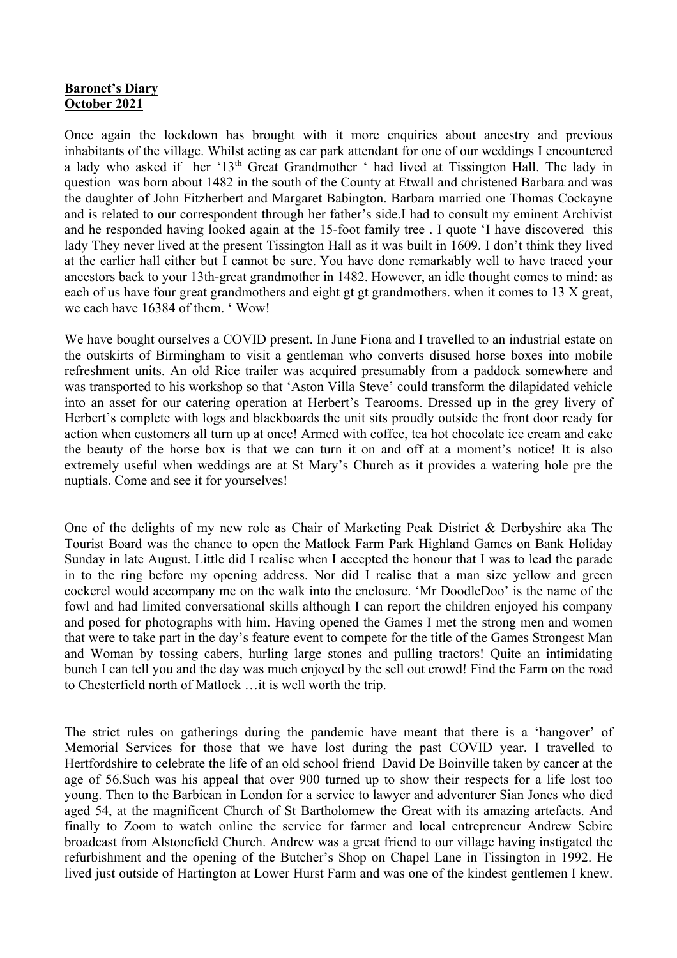## **Baronet's Diary October 2021**

Once again the lockdown has brought with it more enquiries about ancestry and previous inhabitants of the village. Whilst acting as car park attendant for one of our weddings I encountered a lady who asked if her '13th Great Grandmother ' had lived at Tissington Hall. The lady in question was born about 1482 in the south of the County at Etwall and christened Barbara and was the daughter of John Fitzherbert and Margaret Babington. Barbara married one Thomas Cockayne and is related to our correspondent through her father's side.I had to consult my eminent Archivist and he responded having looked again at the 15-foot family tree . I quote 'I have discovered this lady They never lived at the present Tissington Hall as it was built in 1609. I don't think they lived at the earlier hall either but I cannot be sure. You have done remarkably well to have traced your ancestors back to your 13th-great grandmother in 1482. However, an idle thought comes to mind: as each of us have four great grandmothers and eight gt gt grandmothers. when it comes to 13 X great, we each have 16384 of them. ' Wow!

We have bought ourselves a COVID present. In June Fiona and I travelled to an industrial estate on the outskirts of Birmingham to visit a gentleman who converts disused horse boxes into mobile refreshment units. An old Rice trailer was acquired presumably from a paddock somewhere and was transported to his workshop so that 'Aston Villa Steve' could transform the dilapidated vehicle into an asset for our catering operation at Herbert's Tearooms. Dressed up in the grey livery of Herbert's complete with logs and blackboards the unit sits proudly outside the front door ready for action when customers all turn up at once! Armed with coffee, tea hot chocolate ice cream and cake the beauty of the horse box is that we can turn it on and off at a moment's notice! It is also extremely useful when weddings are at St Mary's Church as it provides a watering hole pre the nuptials. Come and see it for yourselves!

One of the delights of my new role as Chair of Marketing Peak District & Derbyshire aka The Tourist Board was the chance to open the Matlock Farm Park Highland Games on Bank Holiday Sunday in late August. Little did I realise when I accepted the honour that I was to lead the parade in to the ring before my opening address. Nor did I realise that a man size yellow and green cockerel would accompany me on the walk into the enclosure. 'Mr DoodleDoo' is the name of the fowl and had limited conversational skills although I can report the children enjoyed his company and posed for photographs with him. Having opened the Games I met the strong men and women that were to take part in the day's feature event to compete for the title of the Games Strongest Man and Woman by tossing cabers, hurling large stones and pulling tractors! Quite an intimidating bunch I can tell you and the day was much enjoyed by the sell out crowd! Find the Farm on the road to Chesterfield north of Matlock …it is well worth the trip.

The strict rules on gatherings during the pandemic have meant that there is a 'hangover' of Memorial Services for those that we have lost during the past COVID year. I travelled to Hertfordshire to celebrate the life of an old school friend David De Boinville taken by cancer at the age of 56.Such was his appeal that over 900 turned up to show their respects for a life lost too young. Then to the Barbican in London for a service to lawyer and adventurer Sian Jones who died aged 54, at the magnificent Church of St Bartholomew the Great with its amazing artefacts. And finally to Zoom to watch online the service for farmer and local entrepreneur Andrew Sebire broadcast from Alstonefield Church. Andrew was a great friend to our village having instigated the refurbishment and the opening of the Butcher's Shop on Chapel Lane in Tissington in 1992. He lived just outside of Hartington at Lower Hurst Farm and was one of the kindest gentlemen I knew.